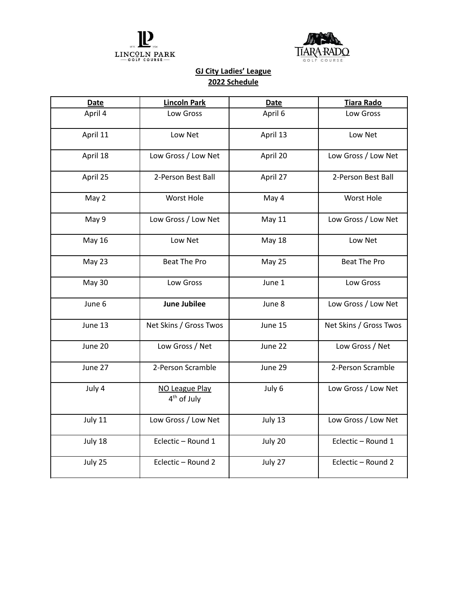



## **GJ City Ladies' League 2022 Schedule**

| <b>Lincoln Park</b>                       | <b>Date</b>   | <b>Tiara Rado</b>      |
|-------------------------------------------|---------------|------------------------|
| Low Gross                                 | April 6       | Low Gross              |
| Low Net                                   | April 13      | Low Net                |
| Low Gross / Low Net                       | April 20      | Low Gross / Low Net    |
| 2-Person Best Ball                        | April 27      | 2-Person Best Ball     |
| <b>Worst Hole</b>                         | May 4         | <b>Worst Hole</b>      |
| Low Gross / Low Net                       | <b>May 11</b> | Low Gross / Low Net    |
| Low Net                                   | <b>May 18</b> | Low Net                |
| <b>Beat The Pro</b>                       | May 25        | <b>Beat The Pro</b>    |
| Low Gross                                 | June 1        | Low Gross              |
| <b>June Jubilee</b>                       | June 8        | Low Gross / Low Net    |
| Net Skins / Gross Twos                    | June 15       | Net Skins / Gross Twos |
| Low Gross / Net                           | June 22       | Low Gross / Net        |
| 2-Person Scramble                         | June 29       | 2-Person Scramble      |
| NO League Play<br>4 <sup>th</sup> of July | July 6        | Low Gross / Low Net    |
| Low Gross / Low Net                       | July 13       | Low Gross / Low Net    |
| Eclectic - Round 1                        | July 20       | Eclectic - Round 1     |
| Eclectic - Round 2                        | July 27       | Eclectic - Round 2     |
|                                           |               |                        |